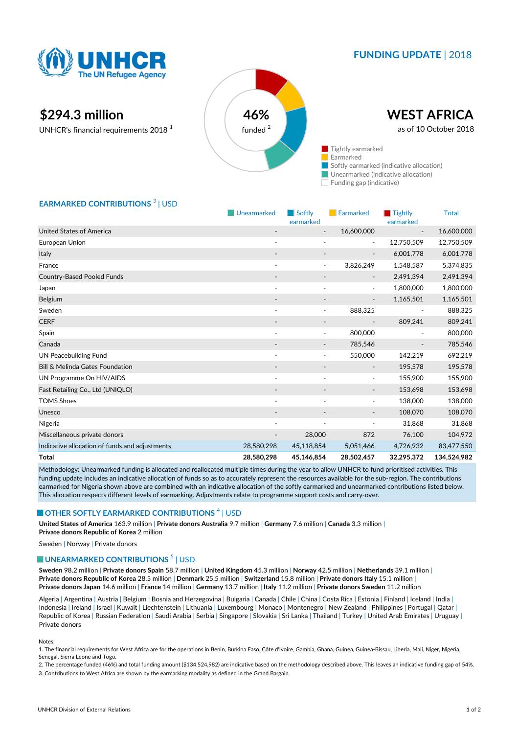

## **FUNDING UPDATE** | 2018

# **\$294.3 million 46%**

UNHCR's financial requirements 2018 <sup>1</sup>



### **EARMARKED CONTRIBUTIONS<sup>3</sup> | USD**

|                                                | Unearmarked              | Softly<br>earmarked      | <b>Earmarked</b>         | $\blacksquare$ Tightly<br>earmarked | <b>Total</b> |
|------------------------------------------------|--------------------------|--------------------------|--------------------------|-------------------------------------|--------------|
| United States of America                       |                          | $\overline{\phantom{a}}$ | 16,600,000               |                                     | 16,600,000   |
| European Union                                 | $\overline{\phantom{a}}$ | ٠                        | $\overline{\phantom{a}}$ | 12,750,509                          | 12,750,509   |
| Italy                                          |                          |                          | $\overline{\phantom{a}}$ | 6,001,778                           | 6,001,778    |
| France                                         | $\overline{\phantom{a}}$ | ۰                        | 3,826,249                | 1,548,587                           | 5,374,835    |
| <b>Country-Based Pooled Funds</b>              |                          |                          |                          | 2,491,394                           | 2,491,394    |
| Japan                                          |                          |                          | $\overline{\phantom{a}}$ | 1,800,000                           | 1,800,000    |
| Belgium                                        | $\overline{\phantom{a}}$ | -                        | $\overline{\phantom{a}}$ | 1,165,501                           | 1,165,501    |
| Sweden                                         | $\overline{\phantom{a}}$ | $\blacksquare$           | 888,325                  |                                     | 888,325      |
| <b>CERF</b>                                    |                          | $\overline{\phantom{a}}$ |                          | 809,241                             | 809,241      |
| Spain                                          | $\overline{\phantom{a}}$ | $\overline{\phantom{a}}$ | 800,000                  | $\overline{\phantom{a}}$            | 800,000      |
| Canada                                         |                          |                          | 785,546                  |                                     | 785,546      |
| <b>UN Peacebuilding Fund</b>                   |                          | ٠                        | 550,000                  | 142,219                             | 692,219      |
| Bill & Melinda Gates Foundation                |                          |                          | $\overline{\phantom{a}}$ | 195,578                             | 195,578      |
| UN Programme On HIV/AIDS                       | $\overline{\phantom{a}}$ | $\overline{a}$           | $\overline{\phantom{a}}$ | 155,900                             | 155,900      |
| Fast Retailing Co., Ltd (UNIQLO)               |                          |                          | $\overline{\phantom{a}}$ | 153,698                             | 153,698      |
| <b>TOMS Shoes</b>                              | ٠                        | ÷,                       | $\overline{\phantom{a}}$ | 138,000                             | 138,000      |
| Unesco                                         |                          |                          |                          | 108,070                             | 108,070      |
| Nigeria                                        | $\overline{\phantom{a}}$ | $\overline{\phantom{a}}$ | $\overline{\phantom{a}}$ | 31,868                              | 31,868       |
| Miscellaneous private donors                   |                          | 28,000                   | 872                      | 76,100                              | 104,972      |
| Indicative allocation of funds and adjustments | 28,580,298               | 45,118,854               | 5,051,466                | 4,726,932                           | 83,477,550   |
| <b>Total</b>                                   | 28,580,298               | 45,146,854               | 28,502,457               | 32,295,372                          | 134,524,982  |

Methodology: Unearmarked funding is allocated and reallocated multiple times during the year to allow UNHCR to fund prioritised activities. This funding update includes an indicative allocation of funds so as to accurately represent the resources available for the sub-region. The contributions earmarked for Nigeria shown above are combined with an indicative allocation of the softly earmarked and unearmarked contributions listed below. This allocation respects different levels of earmarking. Adjustments relate to programme support costs and carry-over.

#### **OTHER SOFTLY EARMARKED CONTRIBUTIONS**  $^4$  | USD

**United States of America** 163.9 million | **Private donors Australia** 9.7 million | **Germany** 7.6 million | **Canada** 3.3 million | **Private donors Republic of Korea** 2 million

Sweden | Norway | Private donors

#### **UNEARMARKED CONTRIBUTIONS<sup>5</sup> | USD**

**Sweden** 98.2 million | **Private donors Spain** 58.7 million | **United Kingdom** 45.3 million | **Norway** 42.5 million | **Netherlands** 39.1 million | **Private donors Republic of Korea** 28.5 million | **Denmark** 25.5 million | **Switzerland** 15.8 million | **Private donors Italy** 15.1 million | **Private donors Japan** 14.6 million | **France** 14 million | **Germany** 13.7 million | **Italy** 11.2 million | **Private donors Sweden** 11.2 million

Algeria | Argentina | Austria | Belgium | Bosnia and Herzegovina | Bulgaria | Canada | Chile | China | Costa Rica | Estonia | Finland | Iceland | India | Indonesia | Ireland | Israel | Kuwait | Liechtenstein | Lithuania | Luxembourg | Monaco | Montenegro | New Zealand | Philippines | Portugal | Qatar | Republic of Korea | Russian Federation | Saudi Arabia | Serbia | Singapore | Slovakia | Sri Lanka | Thailand | Turkey | United Arab Emirates | Uruguay | Private donors

#### Notes:

1. The financial requirements for West Africa are for the operations in Benin, Burkina Faso, Côte d'Ivoire, Gambia, Ghana, Guinea, Guinea-Bissau, Liberia, Mali, Niger, Nigeria, Senegal, Sierra Leone and Togo.

2. The percentage funded (46%) and total funding amount (\$134,524,982) are indicative based on the methodology described above. This leaves an indicative funding gap of 54%. 3. Contributions to West Africa are shown by the earmarking modality as defined in the Grand Bargain.